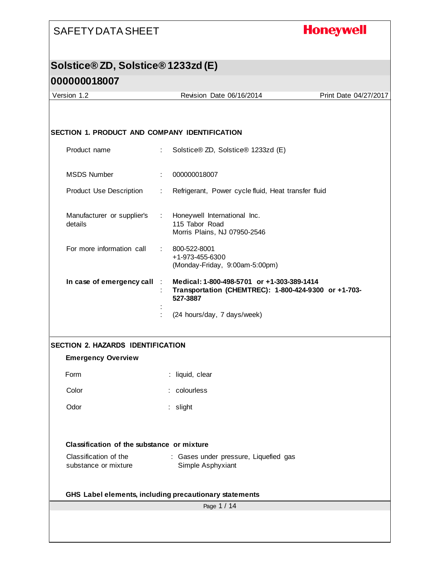## **Honeywell**

# **Solstice® ZD, Solstice® 1233zd (E)**

| Version 1.2                                          | Revision Date 06/16/2014                                                                                       | Print Date 04/27/2017 |
|------------------------------------------------------|----------------------------------------------------------------------------------------------------------------|-----------------------|
|                                                      |                                                                                                                |                       |
| <b>SECTION 1. PRODUCT AND COMPANY IDENTIFICATION</b> |                                                                                                                |                       |
| Product name                                         | Solstice® ZD, Solstice® 1233zd (E)<br>÷                                                                        |                       |
| <b>MSDS Number</b>                                   | 000000018007                                                                                                   |                       |
| <b>Product Use Description</b>                       | Refrigerant, Power cycle fluid, Heat transfer fluid                                                            |                       |
| Manufacturer or supplier's<br>details                | Honeywell International Inc.<br>$\mathbb{Z}^{n-1}$<br>115 Tabor Road<br>Morris Plains, NJ 07950-2546           |                       |
| For more information call                            | 800-522-8001<br>+1-973-455-6300<br>(Monday-Friday, 9:00am-5:00pm)                                              |                       |
| In case of emergency call                            | Medical: 1-800-498-5701 or +1-303-389-1414<br>Transportation (CHEMTREC): 1-800-424-9300 or +1-703-<br>527-3887 |                       |
|                                                      | (24 hours/day, 7 days/week)                                                                                    |                       |
| <b>SECTION 2. HAZARDS IDENTIFICATION</b>             |                                                                                                                |                       |
| <b>Emergency Overview</b>                            |                                                                                                                |                       |
| Form                                                 | : liquid, clear                                                                                                |                       |
| Color                                                | colourless                                                                                                     |                       |
| Odor                                                 | : slight                                                                                                       |                       |
| Classification of the substance or mixture           |                                                                                                                |                       |
| Classification of the                                | : Gases under pressure, Liquefied gas                                                                          |                       |
| substance or mixture                                 | Simple Asphyxiant                                                                                              |                       |
|                                                      | GHS Label elements, including precautionary statements                                                         |                       |
|                                                      | Page 1 / 14                                                                                                    |                       |
|                                                      |                                                                                                                |                       |
|                                                      |                                                                                                                |                       |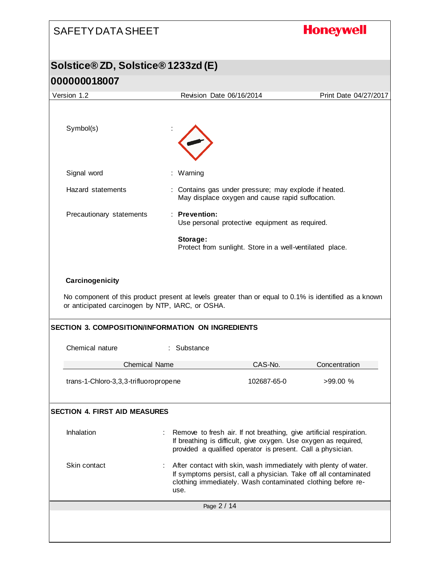# **Honeywell** SAFETY DATA SHEET **Solstice® ZD, Solstice® 1233zd (E) 000000018007** Version 1.2 Revision Date 06/16/2014 Print Date 04/27/2017 Symbol(s) Signal word : Warning Hazard statements : Contains gas under pressure; may explode if heated. May displace oxygen and cause rapid suffocation. Precautionary statements : **Prevention:**  Use personal protective equipment as required. **Storage:**  Protect from sunlight. Store in a well-ventilated place. **Carcinogenicity** No component of this product present at levels greater than or equal to 0.1% is identified as a known or anticipated carcinogen by NTP, IARC, or OSHA. **SECTION 3. COMPOSITION/INFORMATION ON INGREDIENTS** Chemical nature : Substance Chemical Name CAS-No. Concentration trans-1-Chloro-3,3,3-trifluoropropene 102687-65-0 >99.00 % **SECTION 4. FIRST AID MEASURES** Inhalation : Remove to fresh air. If not breathing, give artificial respiration. If breathing is difficult, give oxygen. Use oxygen as required, provided a qualified operator is present. Call a physician. Skin contact : After contact with skin, wash immediately with plenty of water. If symptoms persist, call a physician. Take off all contaminated clothing immediately. Wash contaminated clothing before reuse.Page 2 / 14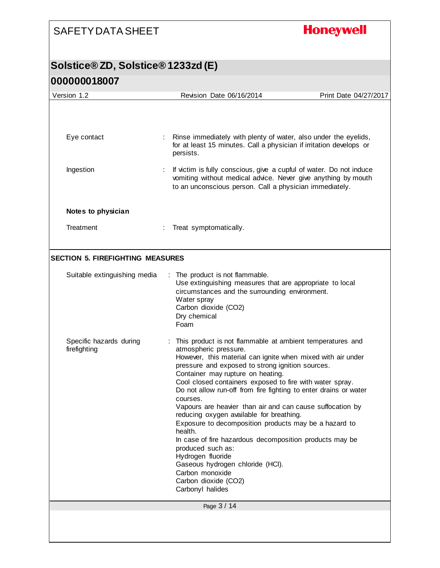**Honeywell** 

| Version 1.2                             | Revision Date 06/16/2014                                                                                                                                                                                                                                                                                                                                                                                                                                                                                                                                                                                                                                                                                                                                                    | Print Date 04/27/2017 |
|-----------------------------------------|-----------------------------------------------------------------------------------------------------------------------------------------------------------------------------------------------------------------------------------------------------------------------------------------------------------------------------------------------------------------------------------------------------------------------------------------------------------------------------------------------------------------------------------------------------------------------------------------------------------------------------------------------------------------------------------------------------------------------------------------------------------------------------|-----------------------|
|                                         |                                                                                                                                                                                                                                                                                                                                                                                                                                                                                                                                                                                                                                                                                                                                                                             |                       |
| Eye contact                             | : Rinse immediately with plenty of water, also under the eyelids,<br>for at least 15 minutes. Call a physician if irritation develops or<br>persists.                                                                                                                                                                                                                                                                                                                                                                                                                                                                                                                                                                                                                       |                       |
| Ingestion                               | If victim is fully conscious, give a cupful of water. Do not induce<br>vomiting without medical advice. Never give anything by mouth<br>to an unconscious person. Call a physician immediately.                                                                                                                                                                                                                                                                                                                                                                                                                                                                                                                                                                             |                       |
| Notes to physician                      |                                                                                                                                                                                                                                                                                                                                                                                                                                                                                                                                                                                                                                                                                                                                                                             |                       |
| Treatment                               | Treat symptomatically.                                                                                                                                                                                                                                                                                                                                                                                                                                                                                                                                                                                                                                                                                                                                                      |                       |
| <b>SECTION 5. FIREFIGHTING MEASURES</b> |                                                                                                                                                                                                                                                                                                                                                                                                                                                                                                                                                                                                                                                                                                                                                                             |                       |
| Suitable extinguishing media            | : The product is not flammable.<br>Use extinguishing measures that are appropriate to local<br>circumstances and the surrounding environment.<br>Water spray<br>Carbon dioxide (CO2)<br>Dry chemical<br>Foam                                                                                                                                                                                                                                                                                                                                                                                                                                                                                                                                                                |                       |
| Specific hazards during<br>firefighting | This product is not flammable at ambient temperatures and<br>atmospheric pressure.<br>However, this material can ignite when mixed with air under<br>pressure and exposed to strong ignition sources.<br>Container may rupture on heating.<br>Cool closed containers exposed to fire with water spray.<br>Do not allow run-off from fire fighting to enter drains or water<br>courses.<br>Vapours are heavier than air and can cause suffocation by<br>reducing oxygen available for breathing.<br>Exposure to decomposition products may be a hazard to<br>health.<br>In case of fire hazardous decomposition products may be<br>produced such as:<br>Hydrogen fluoride<br>Gaseous hydrogen chloride (HCl).<br>Carbon monoxide<br>Carbon dioxide (CO2)<br>Carbonyl halides |                       |
|                                         | Page 3 / 14                                                                                                                                                                                                                                                                                                                                                                                                                                                                                                                                                                                                                                                                                                                                                                 |                       |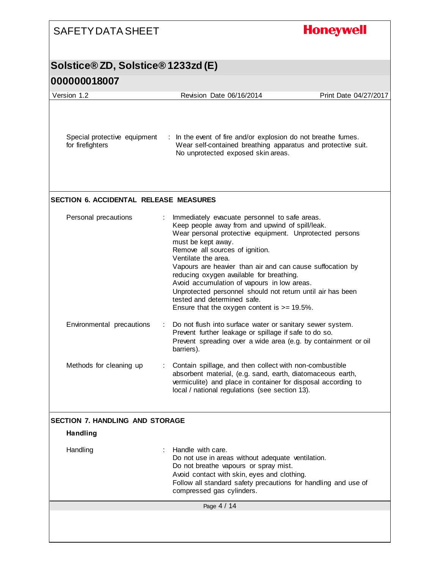| <b>SAFETY DATA SHEET</b>                         | <b>Honeywell</b>                                                                                                                                                                                                                                                                                                                                                                                                                                                                                                                                    |
|--------------------------------------------------|-----------------------------------------------------------------------------------------------------------------------------------------------------------------------------------------------------------------------------------------------------------------------------------------------------------------------------------------------------------------------------------------------------------------------------------------------------------------------------------------------------------------------------------------------------|
| <b>Solstice®ZD, Solstice®1233zd (E)</b>          |                                                                                                                                                                                                                                                                                                                                                                                                                                                                                                                                                     |
| 000000018007                                     |                                                                                                                                                                                                                                                                                                                                                                                                                                                                                                                                                     |
| Version 1.2                                      | Revision Date 06/16/2014<br>Print Date 04/27/2017                                                                                                                                                                                                                                                                                                                                                                                                                                                                                                   |
| Special protective equipment<br>for firefighters | : In the event of fire and/or explosion do not breathe fumes.<br>Wear self-contained breathing apparatus and protective suit.<br>No unprotected exposed skin areas.                                                                                                                                                                                                                                                                                                                                                                                 |
| <b>SECTION 6. ACCIDENTAL RELEASE MEASURES</b>    |                                                                                                                                                                                                                                                                                                                                                                                                                                                                                                                                                     |
| Personal precautions                             | Immediately evacuate personnel to safe areas.<br>Keep people away from and upwind of spill/leak.<br>Wear personal protective equipment. Unprotected persons<br>must be kept away.<br>Remove all sources of ignition.<br>Ventilate the area.<br>Vapours are heavier than air and can cause suffocation by<br>reducing oxygen available for breathing.<br>Avoid accumulation of vapours in low areas.<br>Unprotected personnel should not return until air has been<br>tested and determined safe.<br>Ensure that the oxygen content is $>= 19.5\%$ . |
| Environmental precautions                        | Do not flush into surface water or sanitary sewer system.<br>Prevent further leakage or spillage if safe to do so.<br>Prevent spreading over a wide area (e.g. by containment or oil<br>barriers).                                                                                                                                                                                                                                                                                                                                                  |
| Methods for cleaning up                          | Contain spillage, and then collect with non-combustible<br>absorbent material, (e.g. sand, earth, diatomaceous earth,<br>vermiculite) and place in container for disposal according to<br>local / national regulations (see section 13).                                                                                                                                                                                                                                                                                                            |
| <b>SECTION 7. HANDLING AND STORAGE</b>           |                                                                                                                                                                                                                                                                                                                                                                                                                                                                                                                                                     |
| <b>Handling</b>                                  |                                                                                                                                                                                                                                                                                                                                                                                                                                                                                                                                                     |
| Handling                                         | Handle with care.<br>Do not use in areas without adequate ventilation.<br>Do not breathe vapours or spray mist.<br>Avoid contact with skin, eyes and clothing.<br>Follow all standard safety precautions for handling and use of<br>compressed gas cylinders.                                                                                                                                                                                                                                                                                       |
|                                                  | Page 4 / 14                                                                                                                                                                                                                                                                                                                                                                                                                                                                                                                                         |
|                                                  |                                                                                                                                                                                                                                                                                                                                                                                                                                                                                                                                                     |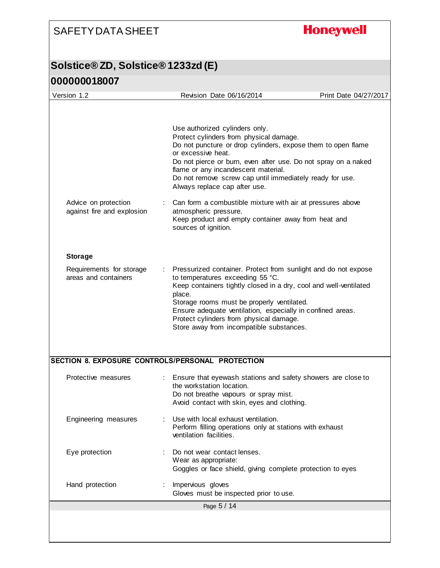## **Honeywell**

| Version 1.2                                        | Revision Date 06/16/2014                                                                                                                                                                                                                                                                                                                                                             | Print Date 04/27/2017 |
|----------------------------------------------------|--------------------------------------------------------------------------------------------------------------------------------------------------------------------------------------------------------------------------------------------------------------------------------------------------------------------------------------------------------------------------------------|-----------------------|
|                                                    | Use authorized cylinders only.<br>Protect cylinders from physical damage.<br>Do not puncture or drop cylinders, expose them to open flame                                                                                                                                                                                                                                            |                       |
|                                                    | or excessive heat.<br>Do not pierce or burn, even after use. Do not spray on a naked<br>flame or any incandescent material.<br>Do not remove screw cap until immediately ready for use.<br>Always replace cap after use.                                                                                                                                                             |                       |
| Advice on protection<br>against fire and explosion | Can form a combustible mixture with air at pressures above<br>atmospheric pressure.<br>Keep product and empty container away from heat and<br>sources of ignition.                                                                                                                                                                                                                   |                       |
| <b>Storage</b>                                     |                                                                                                                                                                                                                                                                                                                                                                                      |                       |
| Requirements for storage<br>areas and containers   | Pressurized container. Protect from sunlight and do not expose<br>to temperatures exceeding 55 °C.<br>Keep containers tightly closed in a dry, cool and well-ventilated<br>place.<br>Storage rooms must be properly ventilated.<br>Ensure adequate ventilation, especially in confined areas.<br>Protect cylinders from physical damage.<br>Store away from incompatible substances. |                       |
|                                                    | SECTION 8. EXPOSURE CONTROLS/PERSONAL PROTECTION                                                                                                                                                                                                                                                                                                                                     |                       |
| Protective measures                                | : Ensure that eyewash stations and safety showers are close to<br>the workstation location.<br>Do not breathe vapours or spray mist.<br>Avoid contact with skin, eyes and clothing.                                                                                                                                                                                                  |                       |
| Engineering measures                               | Use with local exhaust ventilation.<br>Perform filling operations only at stations with exhaust<br>ventilation facilities.                                                                                                                                                                                                                                                           |                       |
| Eye protection                                     | Do not wear contact lenses.<br>Wear as appropriate:<br>Goggles or face shield, giving complete protection to eyes                                                                                                                                                                                                                                                                    |                       |
|                                                    |                                                                                                                                                                                                                                                                                                                                                                                      |                       |
| Hand protection                                    | Impervious gloves<br>Gloves must be inspected prior to use.                                                                                                                                                                                                                                                                                                                          |                       |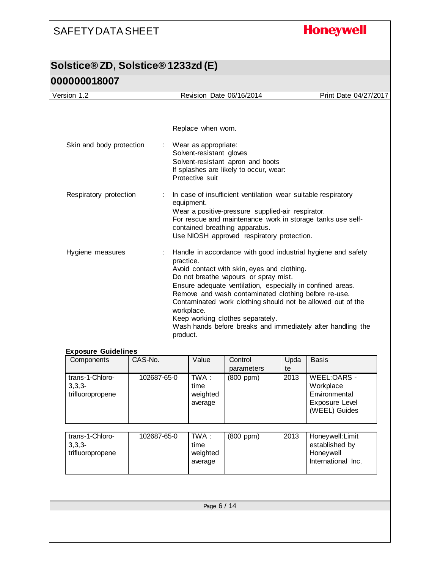## **Honeywell**

| Version 1.2                | Revision Date 06/16/2014                                                                                                                                                                                                                                                                                                                                                                                                                                                            | Print Date 04/27/2017 |
|----------------------------|-------------------------------------------------------------------------------------------------------------------------------------------------------------------------------------------------------------------------------------------------------------------------------------------------------------------------------------------------------------------------------------------------------------------------------------------------------------------------------------|-----------------------|
|                            |                                                                                                                                                                                                                                                                                                                                                                                                                                                                                     |                       |
|                            | Replace when worn.                                                                                                                                                                                                                                                                                                                                                                                                                                                                  |                       |
| Skin and body protection   | : Wear as appropriate:<br>Solvent-resistant gloves<br>Solvent-resistant apron and boots<br>If splashes are likely to occur, wear:<br>Protective suit                                                                                                                                                                                                                                                                                                                                |                       |
| Respiratory protection     | In case of insufficient ventilation wear suitable respiratory<br>equipment.<br>Wear a positive-pressure supplied-air respirator.<br>For rescue and maintenance work in storage tanks use self-<br>contained breathing apparatus.<br>Use NIOSH approved respiratory protection.                                                                                                                                                                                                      |                       |
| Hygiene measures           | Handle in accordance with good industrial hygiene and safety<br>practice.<br>Avoid contact with skin, eyes and clothing.<br>Do not breathe vapours or spray mist.<br>Ensure adequate ventilation, especially in confined areas.<br>Remove and wash contaminated clothing before re-use.<br>Contaminated work clothing should not be allowed out of the<br>workplace.<br>Keep working clothes separately.<br>Wash hands before breaks and immediately after handling the<br>product. |                       |
| <b>Exposure Guidelines</b> |                                                                                                                                                                                                                                                                                                                                                                                                                                                                                     |                       |
| CAS-No<br>Components       | ۱/۵۱۱۵<br>l Inda<br>Control                                                                                                                                                                                                                                                                                                                                                                                                                                                         | Racic                 |

| CAS-No.     | Value                                | Control<br>parameters | Upda<br>te | <b>Basis</b>                                                                 |  |  |  |
|-------------|--------------------------------------|-----------------------|------------|------------------------------------------------------------------------------|--|--|--|
| 102687-65-0 | TWA :<br>time<br>weighted<br>average | $(800$ ppm $)$        | 2013       | WEEL:OARS -<br>Workplace<br>Environmental<br>Exposure Level<br>(WEEL) Guides |  |  |  |
| 102687-65-0 | TWA :<br>time<br>weighted<br>average | (800 ppm)             | 2013       | Honeywell: Limit<br>established by<br>Honeywell<br>International Inc.        |  |  |  |
|             |                                      |                       |            |                                                                              |  |  |  |
| Page 6 / 14 |                                      |                       |            |                                                                              |  |  |  |
|             |                                      |                       |            |                                                                              |  |  |  |
|             |                                      |                       |            |                                                                              |  |  |  |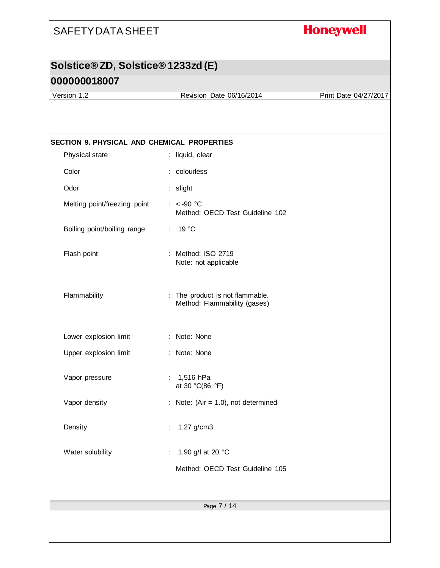## **Honeywell**

## **Solstice® ZD, Solstice® 1233zd (E)**

#### **000000018007**

Version 1.2 Revision Date 06/16/2014 Print Date 04/27/2017

| Color                                                                              | : colourless<br>: slight<br>$: < -90$ °C<br>Method: OECD Test Guideline 102<br>19 °C<br>÷. |
|------------------------------------------------------------------------------------|--------------------------------------------------------------------------------------------|
| Odor<br>Melting point/freezing point<br>Boiling point/boiling range<br>Flash point |                                                                                            |
|                                                                                    |                                                                                            |
|                                                                                    |                                                                                            |
|                                                                                    |                                                                                            |
|                                                                                    | : Method: ISO 2719<br>Note: not applicable                                                 |
| Flammability                                                                       | : The product is not flammable.<br>Method: Flammability (gases)                            |
| Lower explosion limit                                                              | : Note: None                                                                               |
| Upper explosion limit                                                              | : Note: None                                                                               |
| Vapor pressure                                                                     | : $1,516$ hPa<br>at 30 °C(86 °F)                                                           |
| Vapor density                                                                      | : Note: (Air = $1.0$ ), not determined                                                     |
| Density                                                                            | 1.27 g/cm3<br>÷                                                                            |
| Water solubility                                                                   | 1.90 g/l at 20 °C                                                                          |
|                                                                                    | Method: OECD Test Guideline 105                                                            |
|                                                                                    | Page 7 / 14                                                                                |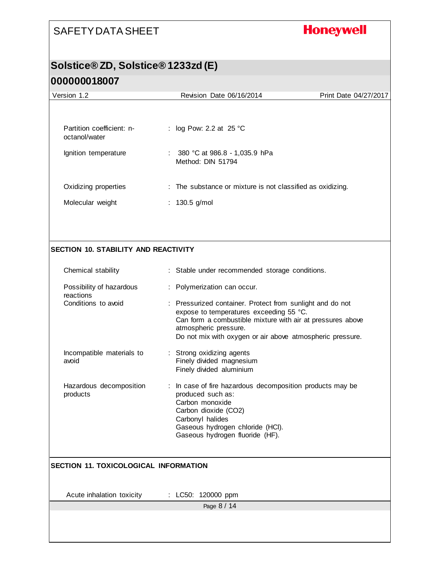## **Honeywell**

#### **Solstice® ZD, Solstice® 1233zd (E)**

| Version 1.2                                  | Revision Date 06/16/2014                                                                                                                                                                                                                                 | Print Date 04/27/2017 |
|----------------------------------------------|----------------------------------------------------------------------------------------------------------------------------------------------------------------------------------------------------------------------------------------------------------|-----------------------|
|                                              |                                                                                                                                                                                                                                                          |                       |
| Partition coefficient: n-<br>octanol/water   | log Pow: 2.2 at 25 °C<br>÷.                                                                                                                                                                                                                              |                       |
| Ignition temperature                         | : $380 °C$ at 986.8 - 1,035.9 hPa<br>Method: DIN 51794                                                                                                                                                                                                   |                       |
| Oxidizing properties                         | : The substance or mixture is not classified as oxidizing.                                                                                                                                                                                               |                       |
| Molecular weight                             | : 130.5 g/mol                                                                                                                                                                                                                                            |                       |
|                                              |                                                                                                                                                                                                                                                          |                       |
| <b>SECTION 10. STABILITY AND REACTIVITY</b>  |                                                                                                                                                                                                                                                          |                       |
| Chemical stability                           | : Stable under recommended storage conditions.                                                                                                                                                                                                           |                       |
| Possibility of hazardous<br>reactions        | : Polymerization can occur.                                                                                                                                                                                                                              |                       |
| Conditions to avoid                          | : Pressurized container. Protect from sunlight and do not<br>expose to temperatures exceeding 55 °C.<br>Can form a combustible mixture with air at pressures above<br>atmospheric pressure.<br>Do not mix with oxygen or air above atmospheric pressure. |                       |
| Incompatible materials to<br>avoid           | : Strong oxidizing agents<br>Finely divided magnesium<br>Finely divided aluminium                                                                                                                                                                        |                       |
| Hazardous decomposition<br>products          | : In case of fire hazardous decomposition products may be<br>produced such as:<br>Carbon monoxide<br>Carbon dioxide (CO2)<br>Carbonyl halides<br>Gaseous hydrogen chloride (HCl).<br>Gaseous hydrogen fluoride (HF).                                     |                       |
| <b>SECTION 11. TOXICOLOGICAL INFORMATION</b> |                                                                                                                                                                                                                                                          |                       |
| Acute inhalation toxicity                    | : LC50: 120000 ppm                                                                                                                                                                                                                                       |                       |
|                                              | Page 8 / 14                                                                                                                                                                                                                                              |                       |
|                                              |                                                                                                                                                                                                                                                          |                       |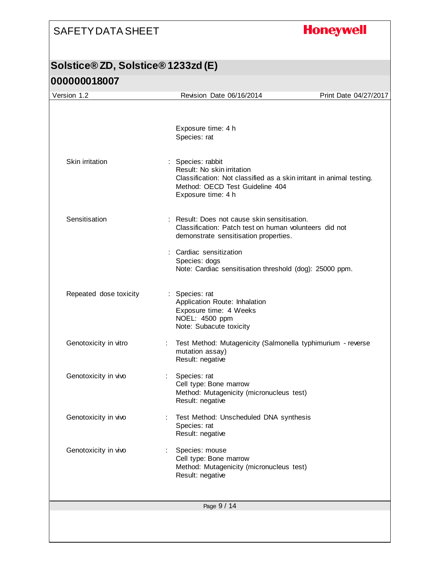## **Honeywell**

| Version 1.2            | Revision Date 06/16/2014                                                                                                                                                         | Print Date 04/27/2017 |
|------------------------|----------------------------------------------------------------------------------------------------------------------------------------------------------------------------------|-----------------------|
|                        |                                                                                                                                                                                  |                       |
|                        | Exposure time: 4 h<br>Species: rat                                                                                                                                               |                       |
| Skin irritation        | : Species: rabbit<br>Result: No skin irritation<br>Classification: Not classified as a skin irritant in animal testing.<br>Method: OECD Test Guideline 404<br>Exposure time: 4 h |                       |
| Sensitisation          | : Result: Does not cause skin sensitisation.<br>Classification: Patch test on human volunteers did not<br>demonstrate sensitisation properties.                                  |                       |
|                        | : Cardiac sensitization<br>Species: dogs<br>Note: Cardiac sensitisation threshold (dog): 25000 ppm.                                                                              |                       |
| Repeated dose toxicity | : Species: rat<br>Application Route: Inhalation<br>Exposure time: 4 Weeks<br>NOEL: 4500 ppm<br>Note: Subacute toxicity                                                           |                       |
| Genotoxicity in vitro  | Test Method: Mutagenicity (Salmonella typhimurium - reverse<br>mutation assay)<br>Result: negative                                                                               |                       |
| Genotoxicity in vivo   | Species: rat<br>$\mathbb{Z}^{\mathbb{Z}}$ .<br>Cell type: Bone marrow<br>Method: Mutagenicity (micronucleus test)<br>Result: negative                                            |                       |
| Genotoxicity in vivo   | Test Method: Unscheduled DNA synthesis<br>Species: rat<br>Result: negative                                                                                                       |                       |
| Genotoxicity in vivo   | Species: mouse<br>Cell type: Bone marrow<br>Method: Mutagenicity (micronucleus test)<br>Result: negative                                                                         |                       |
|                        | Page 9 / 14                                                                                                                                                                      |                       |
|                        |                                                                                                                                                                                  |                       |
|                        |                                                                                                                                                                                  |                       |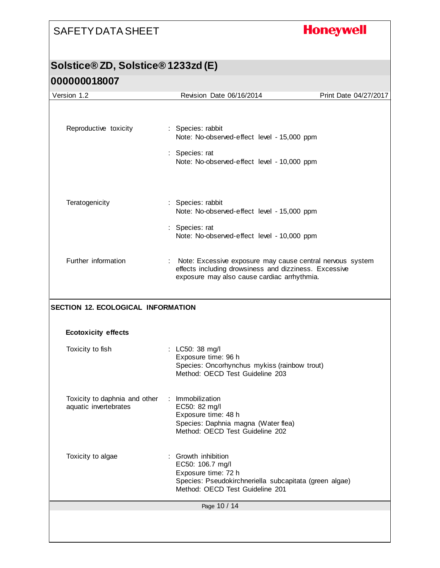## **Honeywell**

| Version 1.2                                            | Revision Date 06/16/2014                                                                                                                                  | Print Date 04/27/2017 |
|--------------------------------------------------------|-----------------------------------------------------------------------------------------------------------------------------------------------------------|-----------------------|
|                                                        |                                                                                                                                                           |                       |
| Reproductive toxicity                                  | : Species: rabbit<br>Note: No-observed-effect level - 15,000 ppm                                                                                          |                       |
|                                                        | : Species: rat<br>Note: No-observed-effect level - 10,000 ppm                                                                                             |                       |
| Teratogenicity                                         | : Species: rabbit<br>Note: No-observed-effect level - 15,000 ppm                                                                                          |                       |
|                                                        | : Species: rat<br>Note: No-observed-effect level - 10,000 ppm                                                                                             |                       |
| Further information                                    | Note: Excessive exposure may cause central nervous system<br>÷<br>effects including drowsiness and dizziness. Excessive                                   |                       |
|                                                        | exposure may also cause cardiac arrhythmia.                                                                                                               |                       |
| <b>SECTION 12. ECOLOGICAL INFORMATION</b>              |                                                                                                                                                           |                       |
| <b>Ecotoxicity effects</b>                             |                                                                                                                                                           |                       |
| Toxicity to fish                                       | : LC50: 38 mg/l<br>Exposure time: 96 h<br>Species: Oncorhynchus mykiss (rainbow trout)<br>Method: OECD Test Guideline 203                                 |                       |
| Toxicity to daphnia and other<br>aquatic invertebrates | : Immobilization<br>EC50: 82 mg/l<br>Exposure time: 48 h<br>Species: Daphnia magna (Water flea)<br>Method: OECD Test Guideline 202                        |                       |
| Toxicity to algae                                      | Growth inhibition<br>EC50: 106.7 mg/l<br>Exposure time: 72 h<br>Species: Pseudokirchneriella subcapitata (green algae)<br>Method: OECD Test Guideline 201 |                       |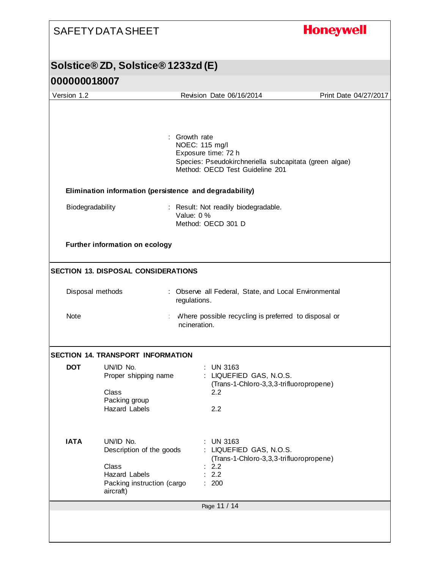## **Honeywell**

| <u>UUUUUUU 10UU1</u> |                                            |                                                                                           |                       |
|----------------------|--------------------------------------------|-------------------------------------------------------------------------------------------|-----------------------|
| Version 1.2          |                                            | Revision Date 06/16/2014                                                                  | Print Date 04/27/2017 |
|                      |                                            |                                                                                           |                       |
|                      |                                            | Growth rate                                                                               |                       |
|                      |                                            | NOEC: 115 mg/l<br>Exposure time: 72 h                                                     |                       |
|                      |                                            | Species: Pseudokirchneriella subcapitata (green algae)<br>Method: OECD Test Guideline 201 |                       |
|                      |                                            | Elimination information (persistence and degradability)                                   |                       |
| Biodegradability     |                                            | : Result: Not readily biodegradable.                                                      |                       |
|                      |                                            | Value: 0 %<br>Method: OECD 301 D                                                          |                       |
|                      |                                            |                                                                                           |                       |
|                      | Further information on ecology             |                                                                                           |                       |
|                      |                                            |                                                                                           |                       |
|                      | <b>SECTION 13. DISPOSAL CONSIDERATIONS</b> |                                                                                           |                       |
|                      | Disposal methods                           | : Observe all Federal, State, and Local Environmental<br>regulations.                     |                       |
| Note                 |                                            | Where possible recycling is preferred to disposal or<br>incineration.                     |                       |
|                      | <b>SECTION 14. TRANSPORT INFORMATION</b>   |                                                                                           |                       |
| <b>DOT</b>           | UN/ID No.                                  | $:$ UN 3163                                                                               |                       |
|                      | Proper shipping name                       | : LIQUEFIED GAS, N.O.S.<br>(Trans-1-Chloro-3,3,3-trifluoropropene)                        |                       |
|                      | Class                                      | 2.2                                                                                       |                       |
|                      | Packing group<br><b>Hazard Labels</b>      |                                                                                           |                       |
|                      |                                            | 2.2                                                                                       |                       |
| <b>IATA</b>          | UN/ID No.                                  | <b>UN 3163</b>                                                                            |                       |
|                      | Description of the goods                   | : LIQUEFIED GAS, N.O.S.<br>(Trans-1-Chloro-3,3,3-trifluoropropene)                        |                       |
|                      | Class                                      | : 2.2                                                                                     |                       |
|                      | <b>Hazard Labels</b>                       | 2.2                                                                                       |                       |
|                      | Packing instruction (cargo<br>aircraft)    | 200                                                                                       |                       |
|                      |                                            | Page 11 / 14                                                                              |                       |
|                      |                                            |                                                                                           |                       |
|                      |                                            |                                                                                           |                       |
|                      |                                            |                                                                                           |                       |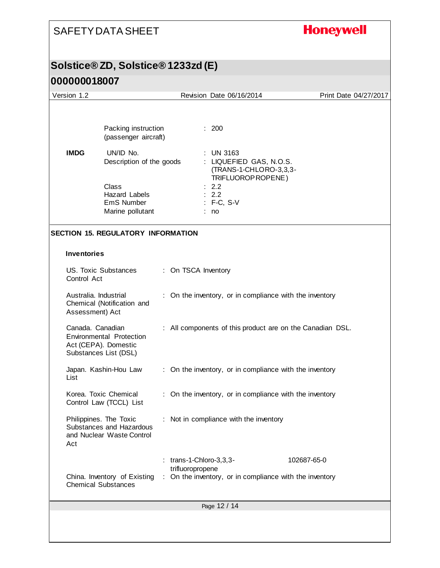## **Honeywell**

#### **Solstice® ZD, Solstice® 1233zd (E)**

| Version 1.2                              |                                                                                  |                         | Revision Date 06/16/2014                                                                  |             | Print Date 04/27/2017 |
|------------------------------------------|----------------------------------------------------------------------------------|-------------------------|-------------------------------------------------------------------------------------------|-------------|-----------------------|
|                                          | Packing instruction<br>(passenger aircraft)                                      |                         | : 200                                                                                     |             |                       |
| <b>IMDG</b>                              | UN/ID No.<br>Description of the goods                                            |                         | <b>UN 3163</b><br>: LIQUEFIED GAS, N.O.S.<br>(TRANS-1-CHLORO-3,3,3-<br>TRIFLUOROP ROPENE) |             |                       |
|                                          | Class<br><b>Hazard Labels</b><br>EmS Number<br>Marine pollutant                  |                         | 2.2<br>2.2<br>: F-C, S-V<br>: no                                                          |             |                       |
|                                          | <b>SECTION 15. REGULATORY INFORMATION</b>                                        |                         |                                                                                           |             |                       |
| <b>Inventories</b>                       |                                                                                  |                         |                                                                                           |             |                       |
| Control Act                              | <b>US. Toxic Substances</b>                                                      | : On TSCA Inventory     |                                                                                           |             |                       |
| Australia. Industrial<br>Assessment) Act | Chemical (Notification and                                                       |                         | On the inventory, or in compliance with the inventory                                     |             |                       |
| Canada. Canadian                         | <b>Environmental Protection</b><br>Act (CEPA). Domestic<br>Substances List (DSL) |                         | : All components of this product are on the Canadian DSL.                                 |             |                       |
| List                                     | Japan. Kashin-Hou Law                                                            |                         | : On the inventory, or in compliance with the inventory                                   |             |                       |
|                                          | Korea. Toxic Chemical<br>Control Law (TCCL) List                                 |                         | : On the inventory, or in compliance with the inventory                                   |             |                       |
| Act                                      | Philippines. The Toxic<br>Substances and Hazardous<br>and Nuclear Waste Control  |                         | : Not in compliance with the inventory                                                    |             |                       |
|                                          |                                                                                  | : trans-1-Chloro-3,3,3- |                                                                                           | 102687-65-0 |                       |
|                                          | China. Inventory of Existing<br><b>Chemical Substances</b>                       | trifluoropropene        | : On the inventory, or in compliance with the inventory                                   |             |                       |
|                                          |                                                                                  |                         | Page 12 / 14                                                                              |             |                       |
|                                          |                                                                                  |                         |                                                                                           |             |                       |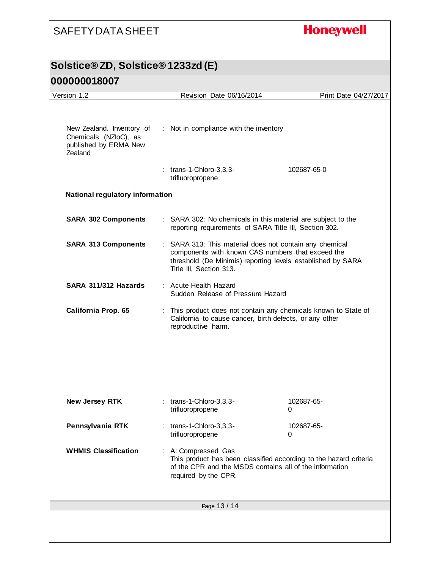## **Honeywell**

#### **Solstice® ZD, Solstice® 1233zd (E)**

| Version 1.2                                                                            |  | Revision Date 06/16/2014                                                                                                                                                                               | Print Date 04/27/2017 |  |
|----------------------------------------------------------------------------------------|--|--------------------------------------------------------------------------------------------------------------------------------------------------------------------------------------------------------|-----------------------|--|
| New Zealand. Inventory of<br>Chemicals (NZloC), as<br>published by ERMA New<br>Zealand |  | : Not in compliance with the inventory<br>$:$ trans-1-Chloro-3,3,3-                                                                                                                                    | 102687-65-0           |  |
|                                                                                        |  | trifluoropropene                                                                                                                                                                                       |                       |  |
| <b>National regulatory information</b>                                                 |  |                                                                                                                                                                                                        |                       |  |
| <b>SARA 302 Components</b>                                                             |  | : SARA 302: No chemicals in this material are subject to the<br>reporting requirements of SARA Title III, Section 302.                                                                                 |                       |  |
| <b>SARA 313 Components</b>                                                             |  | : SARA 313: This material does not contain any chemical<br>components with known CAS numbers that exceed the<br>threshold (De Minimis) reporting levels established by SARA<br>Title III, Section 313. |                       |  |
| SARA 311/312 Hazards                                                                   |  | : Acute Health Hazard<br>Sudden Release of Pressure Hazard                                                                                                                                             |                       |  |
| California Prop. 65                                                                    |  | : This product does not contain any chemicals known to State of<br>California to cause cancer, birth defects, or any other<br>reproductive harm.                                                       |                       |  |
| <b>New Jersey RTK</b>                                                                  |  | $:$ trans-1-Chloro-3,3,3-<br>trifluoropropene                                                                                                                                                          | 102687-65-<br>0       |  |
| Pennsylvania RTK                                                                       |  | $:$ trans-1-Chloro-3,3,3-<br>trifluoropropene                                                                                                                                                          | 102687-65-<br>0       |  |
| <b>WHMIS Classification</b>                                                            |  | : A: Compressed Gas<br>This product has been classified according to the hazard criteria<br>of the CPR and the MSDS contains all of the information<br>required by the CPR.                            |                       |  |
| Page 13 / 14                                                                           |  |                                                                                                                                                                                                        |                       |  |
|                                                                                        |  |                                                                                                                                                                                                        |                       |  |